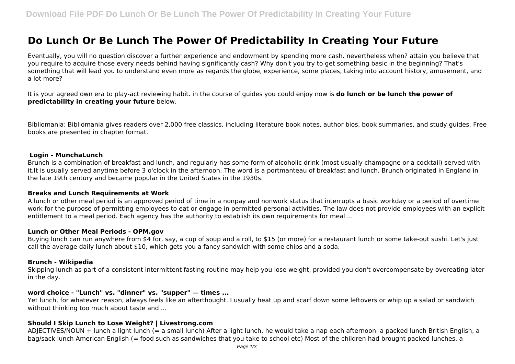# **Do Lunch Or Be Lunch The Power Of Predictability In Creating Your Future**

Eventually, you will no question discover a further experience and endowment by spending more cash. nevertheless when? attain you believe that you require to acquire those every needs behind having significantly cash? Why don't you try to get something basic in the beginning? That's something that will lead you to understand even more as regards the globe, experience, some places, taking into account history, amusement, and a lot more?

It is your agreed own era to play-act reviewing habit. in the course of guides you could enjoy now is **do lunch or be lunch the power of predictability in creating your future** below.

Bibliomania: Bibliomania gives readers over 2,000 free classics, including literature book notes, author bios, book summaries, and study guides. Free books are presented in chapter format.

#### **Login - MunchaLunch**

Brunch is a combination of breakfast and lunch, and regularly has some form of alcoholic drink (most usually champagne or a cocktail) served with it.It is usually served anytime before 3 o'clock in the afternoon. The word is a portmanteau of breakfast and lunch. Brunch originated in England in the late 19th century and became popular in the United States in the 1930s.

#### **Breaks and Lunch Requirements at Work**

A lunch or other meal period is an approved period of time in a nonpay and nonwork status that interrupts a basic workday or a period of overtime work for the purpose of permitting employees to eat or engage in permitted personal activities. The law does not provide employees with an explicit entitlement to a meal period. Each agency has the authority to establish its own requirements for meal ...

#### **Lunch or Other Meal Periods - OPM.gov**

Buying lunch can run anywhere from \$4 for, say, a cup of soup and a roll, to \$15 (or more) for a restaurant lunch or some take-out sushi. Let's just call the average daily lunch about \$10, which gets you a fancy sandwich with some chips and a soda.

#### **Brunch - Wikipedia**

Skipping lunch as part of a consistent intermittent fasting routine may help you lose weight, provided you don't overcompensate by overeating later in the day.

## **word choice - "Lunch" vs. "dinner" vs. "supper" — times ...**

Yet lunch, for whatever reason, always feels like an afterthought. I usually heat up and scarf down some leftovers or whip up a salad or sandwich without thinking too much about taste and ...

#### **Should I Skip Lunch to Lose Weight? | Livestrong.com**

ADJECTIVES/NOUN + lunch a light lunch (= a small lunch) After a light lunch, he would take a nap each afternoon. a packed lunch British English, a bag/sack lunch American English (= food such as sandwiches that you take to school etc) Most of the children had brought packed lunches. a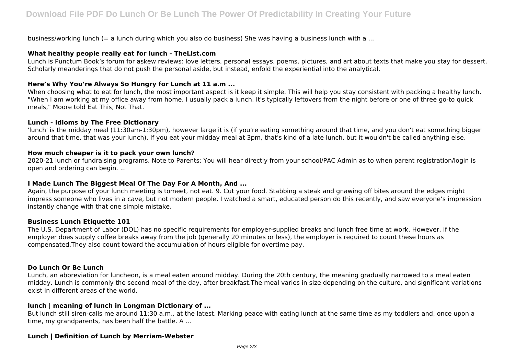business/working lunch (= a lunch during which you also do business) She was having a business lunch with a ...

## **What healthy people really eat for lunch - TheList.com**

Lunch is Punctum Book's forum for askew reviews: love letters, personal essays, poems, pictures, and art about texts that make you stay for dessert. Scholarly meanderings that do not push the personal aside, but instead, enfold the experiential into the analytical.

# **Here's Why You're Always So Hungry for Lunch at 11 a.m ...**

When choosing what to eat for lunch, the most important aspect is it keep it simple. This will help you stay consistent with packing a healthy lunch. "When I am working at my office away from home, I usually pack a lunch. It's typically leftovers from the night before or one of three go-to quick meals," Moore told Eat This, Not That.

## **Lunch - Idioms by The Free Dictionary**

'lunch' is the midday meal (11:30am-1:30pm), however large it is (if you're eating something around that time, and you don't eat something bigger around that time, that was your lunch). If you eat your midday meal at 3pm, that's kind of a late lunch, but it wouldn't be called anything else.

## **How much cheaper is it to pack your own lunch?**

2020-21 lunch or fundraising programs. Note to Parents: You will hear directly from your school/PAC Admin as to when parent registration/login is open and ordering can begin. ...

## **I Made Lunch The Biggest Meal Of The Day For A Month, And ...**

Again, the purpose of your lunch meeting is tomeet, not eat. 9. Cut your food. Stabbing a steak and gnawing off bites around the edges might impress someone who lives in a cave, but not modern people. I watched a smart, educated person do this recently, and saw everyone's impression instantly change with that one simple mistake.

#### **Business Lunch Etiquette 101**

The U.S. Department of Labor (DOL) has no specific requirements for employer-supplied breaks and lunch free time at work. However, if the employer does supply coffee breaks away from the job (generally 20 minutes or less), the employer is required to count these hours as compensated.They also count toward the accumulation of hours eligible for overtime pay.

# **Do Lunch Or Be Lunch**

Lunch, an abbreviation for luncheon, is a meal eaten around midday. During the 20th century, the meaning gradually narrowed to a meal eaten midday. Lunch is commonly the second meal of the day, after breakfast.The meal varies in size depending on the culture, and significant variations exist in different areas of the world.

# **lunch | meaning of lunch in Longman Dictionary of ...**

But lunch still siren-calls me around 11:30 a.m., at the latest. Marking peace with eating lunch at the same time as my toddlers and, once upon a time, my grandparents, has been half the battle. A ...

# **Lunch | Definition of Lunch by Merriam-Webster**